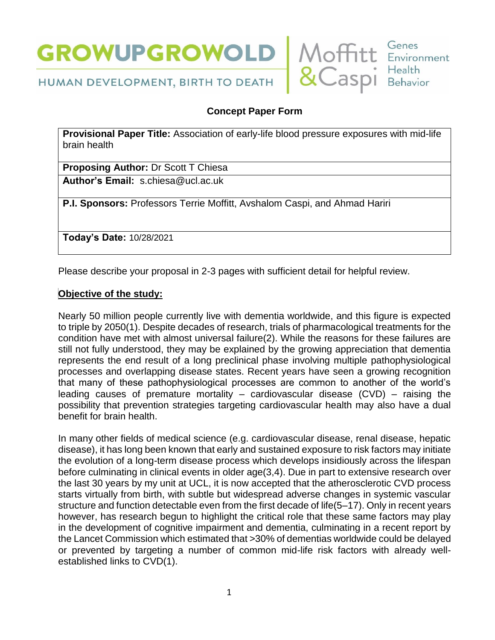



# HUMAN DEVELOPMENT, BIRTH TO DEATH

# **Concept Paper Form**

**Provisional Paper Title:** Association of early-life blood pressure exposures with mid-life brain health

**Proposing Author:** Dr Scott T Chiesa

**Author's Email:** s.chiesa@ucl.ac.uk

**P.I. Sponsors:** Professors Terrie Moffitt, Avshalom Caspi, and Ahmad Hariri

**Today's Date:** 10/28/2021

Please describe your proposal in 2-3 pages with sufficient detail for helpful review.

#### **Objective of the study:**

Nearly 50 million people currently live with dementia worldwide, and this figure is expected to triple by 2050(1). Despite decades of research, trials of pharmacological treatments for the condition have met with almost universal failure(2). While the reasons for these failures are still not fully understood, they may be explained by the growing appreciation that dementia represents the end result of a long preclinical phase involving multiple pathophysiological processes and overlapping disease states. Recent years have seen a growing recognition that many of these pathophysiological processes are common to another of the world's leading causes of premature mortality – cardiovascular disease  $(CVD)$  – raising the possibility that prevention strategies targeting cardiovascular health may also have a dual benefit for brain health.

In many other fields of medical science (e.g. cardiovascular disease, renal disease, hepatic disease), it has long been known that early and sustained exposure to risk factors may initiate the evolution of a long-term disease process which develops insidiously across the lifespan before culminating in clinical events in older age(3,4). Due in part to extensive research over the last 30 years by my unit at UCL, it is now accepted that the atherosclerotic CVD process starts virtually from birth, with subtle but widespread adverse changes in systemic vascular structure and function detectable even from the first decade of life(5–17). Only in recent years however, has research begun to highlight the critical role that these same factors may play in the development of cognitive impairment and dementia, culminating in a recent report by the Lancet Commission which estimated that >30% of dementias worldwide could be delayed or prevented by targeting a number of common mid-life risk factors with already wellestablished links to CVD(1).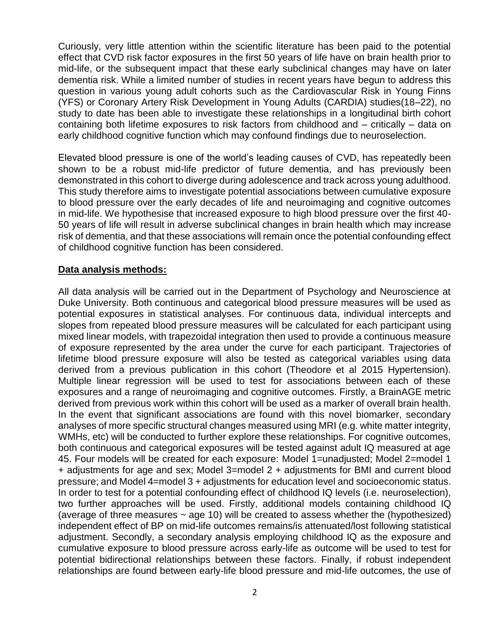Curiously, very little attention within the scientific literature has been paid to the potential effect that CVD risk factor exposures in the first 50 years of life have on brain health prior to mid-life, or the subsequent impact that these early subclinical changes may have on later dementia risk. While a limited number of studies in recent years have begun to address this question in various young adult cohorts such as the Cardiovascular Risk in Young Finns (YFS) or Coronary Artery Risk Development in Young Adults (CARDIA) studies(18–22), no study to date has been able to investigate these relationships in a longitudinal birth cohort containing both lifetime exposures to risk factors from childhood and – critically – data on early childhood cognitive function which may confound findings due to neuroselection.

Elevated blood pressure is one of the world's leading causes of CVD, has repeatedly been shown to be a robust mid-life predictor of future dementia, and has previously been demonstrated in this cohort to diverge during adolescence and track across young adulthood. This study therefore aims to investigate potential associations between cumulative exposure to blood pressure over the early decades of life and neuroimaging and cognitive outcomes in mid-life. We hypothesise that increased exposure to high blood pressure over the first 40- 50 years of life will result in adverse subclinical changes in brain health which may increase risk of dementia, and that these associations will remain once the potential confounding effect of childhood cognitive function has been considered.

#### **Data analysis methods:**

All data analysis will be carried out in the Department of Psychology and Neuroscience at Duke University. Both continuous and categorical blood pressure measures will be used as potential exposures in statistical analyses. For continuous data, individual intercepts and slopes from repeated blood pressure measures will be calculated for each participant using mixed linear models, with trapezoidal integration then used to provide a continuous measure of exposure represented by the area under the curve for each participant. Trajectories of lifetime blood pressure exposure will also be tested as categorical variables using data derived from a previous publication in this cohort (Theodore et al 2015 Hypertension). Multiple linear regression will be used to test for associations between each of these exposures and a range of neuroimaging and cognitive outcomes. Firstly, a BrainAGE metric derived from previous work within this cohort will be used as a marker of overall brain health. In the event that significant associations are found with this novel biomarker, secondary analyses of more specific structural changes measured using MRI (e.g. white matter integrity, WMHs, etc) will be conducted to further explore these relationships. For cognitive outcomes, both continuous and categorical exposures will be tested against adult IQ measured at age 45. Four models will be created for each exposure: Model 1=unadjusted; Model 2=model 1 + adjustments for age and sex; Model 3=model 2 + adjustments for BMI and current blood pressure; and Model 4=model 3 + adjustments for education level and socioeconomic status. In order to test for a potential confounding effect of childhood IQ levels (i.e. neuroselection), two further approaches will be used. Firstly, additional models containing childhood IQ (average of three measures  $\sim$  age 10) will be created to assess whether the (hypothesized) independent effect of BP on mid-life outcomes remains/is attenuated/lost following statistical adjustment. Secondly, a secondary analysis employing childhood IQ as the exposure and cumulative exposure to blood pressure across early-life as outcome will be used to test for potential bidirectional relationships between these factors. Finally, if robust independent relationships are found between early-life blood pressure and mid-life outcomes, the use of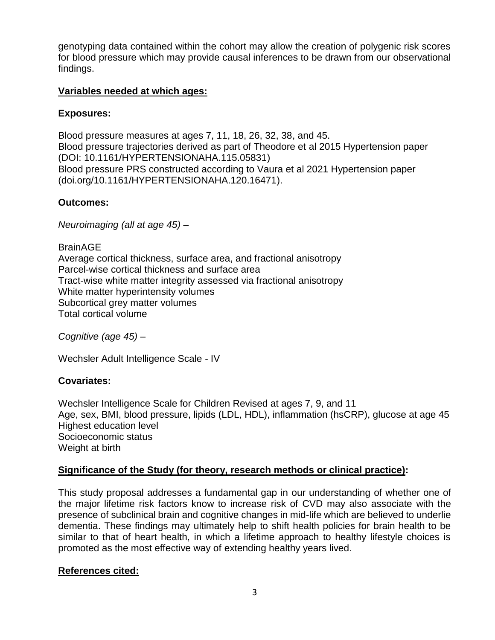genotyping data contained within the cohort may allow the creation of polygenic risk scores for blood pressure which may provide causal inferences to be drawn from our observational findings.

#### **Variables needed at which ages:**

## **Exposures:**

Blood pressure measures at ages 7, 11, 18, 26, 32, 38, and 45. Blood pressure trajectories derived as part of Theodore et al 2015 Hypertension paper (DOI: 10.1161/HYPERTENSIONAHA.115.05831) Blood pressure PRS constructed according to Vaura et al 2021 Hypertension paper (doi.org/10.1161/HYPERTENSIONAHA.120.16471).

## **Outcomes:**

*Neuroimaging (all at age 45) –*

BrainAGE Average cortical thickness, surface area, and fractional anisotropy Parcel-wise cortical thickness and surface area Tract-wise white matter integrity assessed via fractional anisotropy White matter hyperintensity volumes Subcortical grey matter volumes Total cortical volume

*Cognitive (age 45) –*

Wechsler Adult Intelligence Scale - IV

# **Covariates:**

Wechsler Intelligence Scale for Children Revised at ages 7, 9, and 11 Age, sex, BMI, blood pressure, lipids (LDL, HDL), inflammation (hsCRP), glucose at age 45 Highest education level Socioeconomic status Weight at birth

# **Significance of the Study (for theory, research methods or clinical practice):**

This study proposal addresses a fundamental gap in our understanding of whether one of the major lifetime risk factors know to increase risk of CVD may also associate with the presence of subclinical brain and cognitive changes in mid-life which are believed to underlie dementia. These findings may ultimately help to shift health policies for brain health to be similar to that of heart health, in which a lifetime approach to healthy lifestyle choices is promoted as the most effective way of extending healthy years lived.

# **References cited:**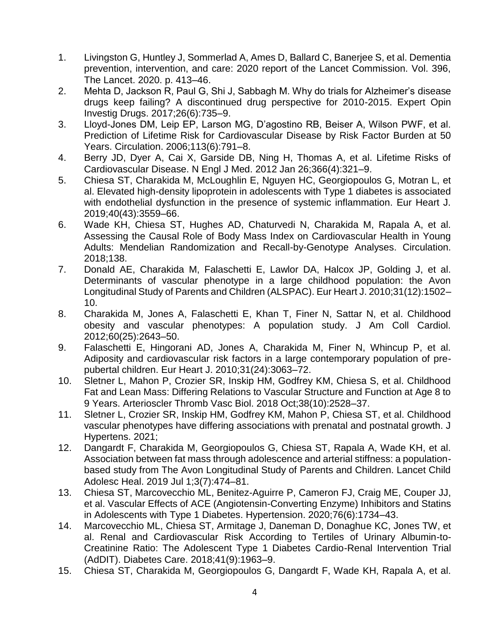- 1. Livingston G, Huntley J, Sommerlad A, Ames D, Ballard C, Banerjee S, et al. Dementia prevention, intervention, and care: 2020 report of the Lancet Commission. Vol. 396, The Lancet. 2020. p. 413–46.
- 2. Mehta D, Jackson R, Paul G, Shi J, Sabbagh M. Why do trials for Alzheimer's disease drugs keep failing? A discontinued drug perspective for 2010-2015. Expert Opin Investig Drugs. 2017;26(6):735–9.
- 3. Lloyd-Jones DM, Leip EP, Larson MG, D'agostino RB, Beiser A, Wilson PWF, et al. Prediction of Lifetime Risk for Cardiovascular Disease by Risk Factor Burden at 50 Years. Circulation. 2006;113(6):791–8.
- 4. Berry JD, Dyer A, Cai X, Garside DB, Ning H, Thomas A, et al. Lifetime Risks of Cardiovascular Disease. N Engl J Med. 2012 Jan 26;366(4):321–9.
- 5. Chiesa ST, Charakida M, McLoughlin E, Nguyen HC, Georgiopoulos G, Motran L, et al. Elevated high-density lipoprotein in adolescents with Type 1 diabetes is associated with endothelial dysfunction in the presence of systemic inflammation. Eur Heart J. 2019;40(43):3559–66.
- 6. Wade KH, Chiesa ST, Hughes AD, Chaturvedi N, Charakida M, Rapala A, et al. Assessing the Causal Role of Body Mass Index on Cardiovascular Health in Young Adults: Mendelian Randomization and Recall-by-Genotype Analyses. Circulation. 2018;138.
- 7. Donald AE, Charakida M, Falaschetti E, Lawlor DA, Halcox JP, Golding J, et al. Determinants of vascular phenotype in a large childhood population: the Avon Longitudinal Study of Parents and Children (ALSPAC). Eur Heart J. 2010;31(12):1502– 10.
- 8. Charakida M, Jones A, Falaschetti E, Khan T, Finer N, Sattar N, et al. Childhood obesity and vascular phenotypes: A population study. J Am Coll Cardiol. 2012;60(25):2643–50.
- 9. Falaschetti E, Hingorani AD, Jones A, Charakida M, Finer N, Whincup P, et al. Adiposity and cardiovascular risk factors in a large contemporary population of prepubertal children. Eur Heart J. 2010;31(24):3063–72.
- 10. Sletner L, Mahon P, Crozier SR, Inskip HM, Godfrey KM, Chiesa S, et al. Childhood Fat and Lean Mass: Differing Relations to Vascular Structure and Function at Age 8 to 9 Years. Arterioscler Thromb Vasc Biol. 2018 Oct;38(10):2528–37.
- 11. Sletner L, Crozier SR, Inskip HM, Godfrey KM, Mahon P, Chiesa ST, et al. Childhood vascular phenotypes have differing associations with prenatal and postnatal growth. J Hypertens. 2021;
- 12. Dangardt F, Charakida M, Georgiopoulos G, Chiesa ST, Rapala A, Wade KH, et al. Association between fat mass through adolescence and arterial stiffness: a populationbased study from The Avon Longitudinal Study of Parents and Children. Lancet Child Adolesc Heal. 2019 Jul 1;3(7):474–81.
- 13. Chiesa ST, Marcovecchio ML, Benitez-Aguirre P, Cameron FJ, Craig ME, Couper JJ, et al. Vascular Effects of ACE (Angiotensin-Converting Enzyme) Inhibitors and Statins in Adolescents with Type 1 Diabetes. Hypertension. 2020;76(6):1734–43.
- 14. Marcovecchio ML, Chiesa ST, Armitage J, Daneman D, Donaghue KC, Jones TW, et al. Renal and Cardiovascular Risk According to Tertiles of Urinary Albumin-to-Creatinine Ratio: The Adolescent Type 1 Diabetes Cardio-Renal Intervention Trial (AdDIT). Diabetes Care. 2018;41(9):1963–9.
- 15. Chiesa ST, Charakida M, Georgiopoulos G, Dangardt F, Wade KH, Rapala A, et al.